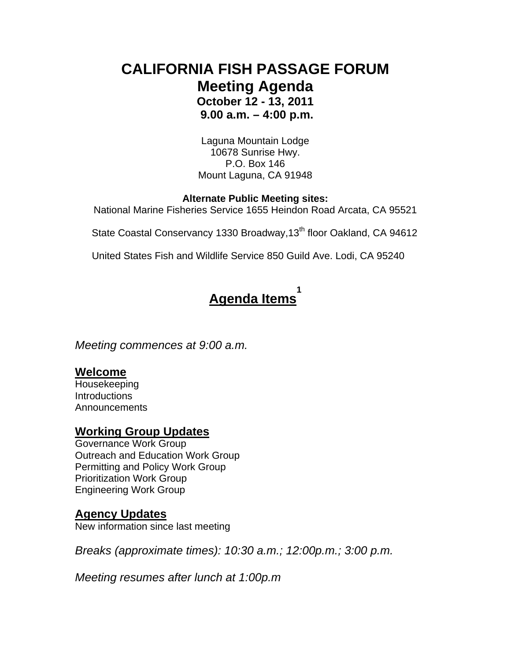## **CALIFORNIA FISH PASSAGE FORUM Meeting Agenda October 12 - 13, 2011 9.00 a.m. – 4:00 p.m.**

Laguna Mountain Lodge 10678 Sunrise Hwy. P.O. Box 146 Mount Laguna, CA 91948

#### **Alternate Public Meeting sites:**

National Marine Fisheries Service 1655 Heindon Road Arcata, CA 95521

State Coastal Conservancy 1330 Broadway, 13<sup>th</sup> floor Oakland, CA 94612

United States Fish and Wildlife Service 850 Guild Ave. Lodi, CA 95240

#### **Agenda Items 1**

*Meeting commences at 9:00 a.m.* 

#### **Welcome**

Housekeeping **Introductions** Announcements

#### **Working Group Updates**

Governance Work Group Outreach and Education Work Group Permitting and Policy Work Group Prioritization Work Group Engineering Work Group

#### **Agency Updates**

New information since last meeting

*Breaks (approximate times): 10:30 a.m.; 12:00p.m.; 3:00 p.m.* 

*Meeting resumes after lunch at 1:00p.m*